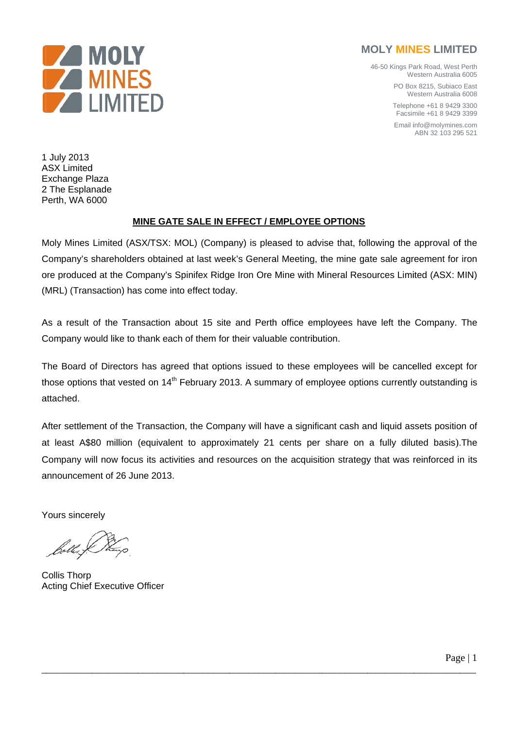

## **MOLY MINES LIMITED**

46-50 Kings Park Road, West Perth Western Australia 6005

> PO Box 8215, Subiaco East Western Australia 6008

Telephone +61 8 9429 3300 Facsimile +61 8 9429 3399

Email info@molymines.com ABN 32 103 295 521

1 July 2013 **ASX** Limited Exchange Plaza 2 The Esplanade Perth, WA 6000

## **MINE GATE SALE IN EFFECT / EMPLOYEE OPTIONS**

Moly Mines Limited (ASX/TSX: MOL) (Company) is pleased to advise that, following the approval of the Company's shareholders obtained at last week's General Meeting, the mine gate sale agreement for iron ore produced at the Company's Spinifex Ridge Iron Ore Mine with Mineral Resources Limited (ASX: MIN) (MRL) (Transaction) has come into effect today.

As a result of the Transaction about 15 site and Perth office employees have left the Company. The Company would like to thank each of them for their valuable contribution.

The Board of Directors has agreed that options issued to these employees will be cancelled except for those options that vested on 14<sup>th</sup> February 2013. A summary of employee options currently outstanding is attached.

After settlement of the Transaction, the Company will have a significant cash and liquid assets position of at least A\$80 million (equivalent to approximately 21 cents per share on a fully diluted basis). The Company will now focus its activities and resources on the acquisition strategy that was reinforced in its announcement of 26 June 2013.

Yours sincerely

**Collis Thorp Acting Chief Executive Officer**